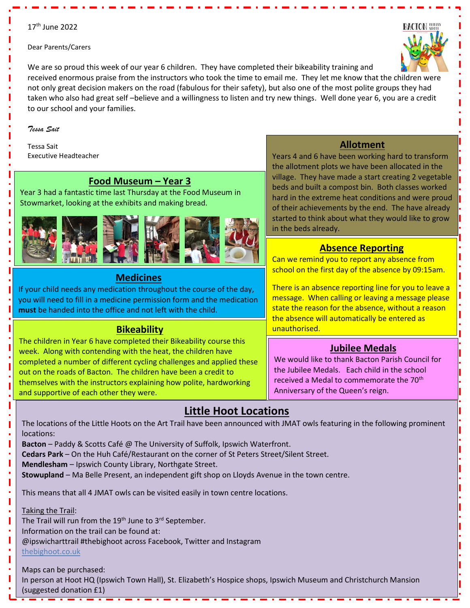### 17<sup>th</sup> June 2022

Dear Parents/Carers

We are so proud this week of our year 6 children. They have completed their bikeability training and received enormous praise from the instructors who took the time to email me. They let me know that the children were not only great decision makers on the road (fabulous for their safety), but also one of the most polite groups they had taken who also had great self –believe and a willingness to listen and try new things. Well done year 6, you are a credit to our school and your families.

#### *Tessa Sait*

Tessa Sait Executive Headteacher

### **Food Museum – Year 3**

Year 3 had a fantastic time last Thursday at the Food Museum in Stowmarket, looking at the exhibits and making bread.



## **Medicines**

If your child needs any medication throughout the course of the day, you will need to fill in a medicine permission form and the medication **must** be handed into the office and not left with the child.

## **Bikeability**

The children in Year 6 have completed their Bikeability course this week. Along with contending with the heat, the children have completed a number of different cycling challenges and applied these out on the roads of Bacton. The children have been a credit to themselves with the instructors explaining how polite, hardworking and supportive of each other they were.

## **Allotment**

Years 4 and 6 have been working hard to transform the allotment plots we have been allocated in the village. They have made a start creating 2 vegetable beds and built a compost bin. Both classes worked hard in the extreme heat conditions and were proud of their achievements by the end. The have already started to think about what they would like to grow in the beds already.

## **Absence Reporting**

Can we remind you to report any absence from school on the first day of the absence by 09:15am.

There is an absence reporting line for you to leave a message. When calling or leaving a message please state the reason for the absence, without a reason the absence will automatically be entered as unauthorised.

## **Jubilee Medals**

We would like to thank Bacton Parish Council for the Jubilee Medals. Each child in the school received a Medal to commemorate the 70<sup>th</sup> Anniversary of the Queen's reign.

# **Little Hoot Locations**

The locations of the Little Hoots on the Art Trail have been announced with JMAT owls featuring in the following prominent locations:

**Bacton** – Paddy & Scotts Café @ The University of Suffolk, Ipswich Waterfront.

**Cedars Park** – On the Huh Café/Restaurant on the corner of St Peters Street/Silent Street.

**Mendlesham** – Ipswich County Library, Northgate Street.

**Stowupland** – Ma Belle Present, an independent gift shop on Lloyds Avenue in the town centre.

This means that all 4 JMAT owls can be visited easily in town centre locations.

Taking the Trail:

ı

The Trail will run from the  $19<sup>th</sup>$  June to  $3<sup>rd</sup>$  September.

Information on the trail can be found at:

@ipswicharttrail #thebighoot across Facebook, Twitter and Instagram

#### [thebighoot.co.uk](https://thebighoot.co.uk/)

Maps can be purchased:

In person at Hoot HQ (Ipswich Town Hall), St. Elizabeth's Hospice shops, Ipswich Museum and Christchurch Mansion (suggested donation £1)